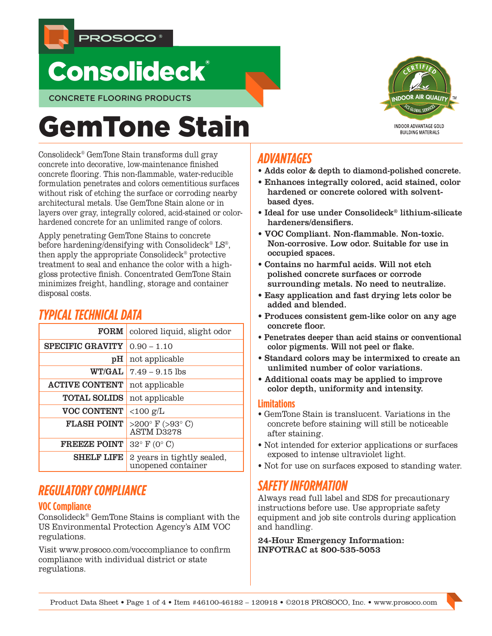



CONCRETE FLOORING PRODUCTS

# GemTone Stain

Consolideck® GemTone Stain transforms dull gray concrete into decorative, low-maintenance finished concrete flooring. This non-flammable, water-reducible formulation penetrates and colors cementitious surfaces without risk of etching the surface or corroding nearby architectural metals. Use GemTone Stain alone or in layers over gray, integrally colored, acid-stained or colorhardened concrete for an unlimited range of colors.

Apply penetrating GemTone Stains to concrete before hardening/densifying with Consolideck<sup>®</sup> LS<sup>®</sup>, then apply the appropriate Consolideck® protective treatment to seal and enhance the color with a highgloss protective finish. Concentrated GemTone Stain minimizes freight, handling, storage and container disposal costs.

# *TYPICAL TECHNICAL DATA* FORM colored liquid, slight odor SPECIFIC GRAVITY  $0.90 - 1.10$ pH not applicable  $WT/GAL$  7.49 – 9.15 lbs ACTIVE CONTENT not applicable **TOTAL SOLIDS** not applicable VOC CONTENT  $\vert$  <100 g/L FLASH POINT  $>200^{\circ}$  F ( $>93^{\circ}$  C) ASTM D3278 **FREEZE POINT** 32° F (0° C) **SHELF LIFE** 2 years in tightly sealed, unopened container

# *REGULATORY COMPLIANCE*

# **VOC Compliance**

Consolideck® GemTone Stains is compliant with the US Environmental Protection Agency's AIM VOC regulations.

Visit www.prosoco.com/voccompliance to confirm compliance with individual district or state regulations.

# *ADVANTAGES*

- Adds color & depth to diamond-polished concrete.
- Enhances integrally colored, acid stained, color hardened or concrete colored with solventbased dyes.
- Ideal for use under Consolideck® lithium-silicate hardeners/densifiers.
- VOC Compliant. Non-flammable. Non-toxic. Non-corrosive. Low odor. Suitable for use in occupied spaces.
- Contains no harmful acids. Will not etch polished concrete surfaces or corrode surrounding metals. No need to neutralize.
- Easy application and fast drying lets color be added and blended.
- Produces consistent gem-like color on any age concrete floor.
- Penetrates deeper than acid stains or conventional color pigments. Will not peel or flake.
- Standard colors may be intermixed to create an unlimited number of color variations.
- Additional coats may be applied to improve color depth, uniformity and intensity.

## **Limitations**

- GemTone Stain is translucent. Variations in the concrete before staining will still be noticeable after staining.
- Not intended for exterior applications or surfaces exposed to intense ultraviolet light.
- Not for use on surfaces exposed to standing water.

# *SAFETY INFORMATION*

Always read full label and SDS for precautionary instructions before use. Use appropriate safety equipment and job site controls during application and handling.

24-Hour Emergency Information: INFOTRAC at 800-535-5053



**INDOOR ADVANTAGE GOLD** BUILDING MATERIALS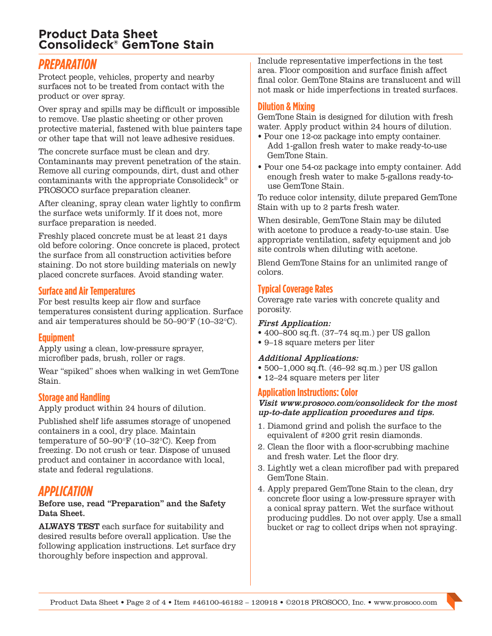# **Product Data Sheet Consolideck® GemTone Stain**

# *PREPARATION*

Protect people, vehicles, property and nearby surfaces not to be treated from contact with the product or over spray.

Over spray and spills may be difficult or impossible to remove. Use plastic sheeting or other proven protective material, fastened with blue painters tape or other tape that will not leave adhesive residues.

The concrete surface must be clean and dry. Contaminants may prevent penetration of the stain. Remove all curing compounds, dirt, dust and other contaminants with the appropriate Consolideck® or PROSOCO surface preparation cleaner.

After cleaning, spray clean water lightly to confirm the surface wets uniformly. If it does not, more surface preparation is needed.

Freshly placed concrete must be at least 21 days old before coloring. Once concrete is placed, protect the surface from all construction activities before staining. Do not store building materials on newly placed concrete surfaces. Avoid standing water.

## **Surface and Air Temperatures**

For best results keep air flow and surface temperatures consistent during application. Surface and air temperatures should be 50–90°F (10–32°C).

# **Equipment**

Apply using a clean, low-pressure sprayer, microfiber pads, brush, roller or rags.

Wear "spiked" shoes when walking in wet GemTone Stain.

## **Storage and Handling**

Apply product within 24 hours of dilution.

Published shelf life assumes storage of unopened containers in a cool, dry place. Maintain temperature of 50–90°F (10–32°C). Keep from freezing. Do not crush or tear. Dispose of unused product and container in accordance with local, state and federal regulations.

# *APPLICATION*

#### Before use, read "Preparation" and the Safety Data Sheet.

ALWAYS TEST each surface for suitability and desired results before overall application. Use the following application instructions. Let surface dry thoroughly before inspection and approval.

Include representative imperfections in the test area. Floor composition and surface finish affect final color. GemTone Stains are translucent and will not mask or hide imperfections in treated surfaces.

## **Dilution & Mixing**

GemTone Stain is designed for dilution with fresh water. Apply product within 24 hours of dilution.

- Pour one 12-oz package into empty container. Add 1-gallon fresh water to make ready-to-use GemTone Stain.
- Pour one 54-oz package into empty container. Add enough fresh water to make 5-gallons ready-touse GemTone Stain.

To reduce color intensity, dilute prepared GemTone Stain with up to 2 parts fresh water.

When desirable, GemTone Stain may be diluted with acetone to produce a ready-to-use stain. Use appropriate ventilation, safety equipment and job site controls when diluting with acetone.

Blend GemTone Stains for an unlimited range of colors.

## **Typical Coverage Rates**

Coverage rate varies with concrete quality and porosity.

#### First Application:

- 400–800 sq.ft. (37–74 sq.m.) per US gallon
- 9–18 square meters per liter

#### Additional Applications:

- 500–1,000 sq.ft. (46–92 sq.m.) per US gallon
- 12–24 square meters per liter

## **Application Instructions: Color**

#### Visit www.prosoco.com/consolideck for the most up-to-date application procedures and tips.

- 1. Diamond grind and polish the surface to the equivalent of #200 grit resin diamonds.
- 2. Clean the floor with a floor-scrubbing machine and fresh water. Let the floor dry.
- 3. Lightly wet a clean microfiber pad with prepared GemTone Stain.
- 4. Apply prepared GemTone Stain to the clean, dry concrete floor using a low-pressure sprayer with a conical spray pattern. Wet the surface without producing puddles. Do not over apply. Use a small bucket or rag to collect drips when not spraying.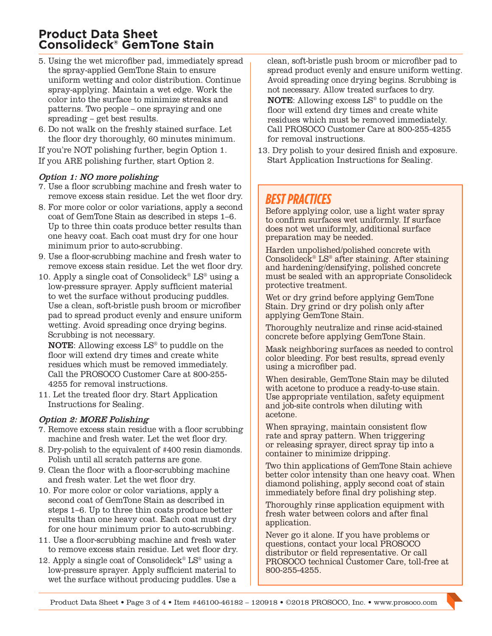# **Product Data Sheet Consolideck® GemTone Stain**

- 5. Using the wet microfiber pad, immediately spread the spray-applied GemTone Stain to ensure uniform wetting and color distribution. Continue spray-applying. Maintain a wet edge. Work the color into the surface to minimize streaks and patterns. Two people – one spraying and one spreading – get best results.
- 6. Do not walk on the freshly stained surface. Let the floor dry thoroughly, 60 minutes minimum.

If you're NOT polishing further, begin Option 1. If you ARE polishing further, start Option 2.

## Option 1: NO more polishing

- 7. Use a floor scrubbing machine and fresh water to remove excess stain residue. Let the wet floor dry.
- 8. For more color or color variations, apply a second coat of GemTone Stain as described in steps 1–6. Up to three thin coats produce better results than one heavy coat. Each coat must dry for one hour minimum prior to auto-scrubbing.
- 9. Use a floor-scrubbing machine and fresh water to remove excess stain residue. Let the wet floor dry.
- 10. Apply a single coat of Consolideck<sup>®</sup> LS<sup>®</sup> using a low-pressure sprayer. Apply sufficient material to wet the surface without producing puddles. Use a clean, soft-bristle push broom or microfiber pad to spread product evenly and ensure uniform wetting. Avoid spreading once drying begins. Scrubbing is not necessary.

NOTE: Allowing excess LS® to puddle on the floor will extend dry times and create white residues which must be removed immediately. Call the PROSOCO Customer Care at 800-255- 4255 for removal instructions.

11. Let the treated floor dry. Start Application Instructions for Sealing.

## Option 2: MORE Polishing

- 7. Remove excess stain residue with a floor scrubbing machine and fresh water. Let the wet floor dry.
- 8. Dry-polish to the equivalent of #400 resin diamonds. Polish until all scratch patterns are gone.
- 9. Clean the floor with a floor-scrubbing machine and fresh water. Let the wet floor dry.
- 10. For more color or color variations, apply a second coat of GemTone Stain as described in steps 1–6. Up to three thin coats produce better results than one heavy coat. Each coat must dry for one hour minimum prior to auto-scrubbing.
- 11. Use a floor-scrubbing machine and fresh water to remove excess stain residue. Let wet floor dry.
- 12. Apply a single coat of Consolideck<sup>®</sup> LS<sup>®</sup> using a low-pressure sprayer. Apply sufficient material to wet the surface without producing puddles. Use a

clean, soft-bristle push broom or microfiber pad to spread product evenly and ensure uniform wetting. Avoid spreading once drying begins. Scrubbing is not necessary. Allow treated surfaces to dry.

NOTE: Allowing excess LS® to puddle on the floor will extend dry times and create white residues which must be removed immediately. Call PROSOCO Customer Care at 800-255-4255 for removal instructions.

13. Dry polish to your desired finish and exposure. Start Application Instructions for Sealing.

# *BEST PRACTICES*

Before applying color, use a light water spray to confirm surfaces wet uniformly. If surface does not wet uniformly, additional surface preparation may be needed.

Harden unpolished/polished concrete with Consolideck<sup>®</sup> LS<sup>®</sup> after staining. After staining and hardening/densifying, polished concrete must be sealed with an appropriate Consolideck protective treatment.

Wet or dry grind before applying GemTone Stain. Dry grind or dry polish only after applying GemTone Stain.

Thoroughly neutralize and rinse acid-stained concrete before applying GemTone Stain.

Mask neighboring surfaces as needed to control color bleeding. For best results, spread evenly using a microfiber pad.

When desirable, GemTone Stain may be diluted with acetone to produce a ready-to-use stain. Use appropriate ventilation, safety equipment and job-site controls when diluting with acetone.

When spraying, maintain consistent flow rate and spray pattern. When triggering or releasing sprayer, direct spray tip into a container to minimize dripping.

Two thin applications of GemTone Stain achieve better color intensity than one heavy coat. When diamond polishing, apply second coat of stain immediately before final dry polishing step.

Thoroughly rinse application equipment with fresh water between colors and after final application.

Never go it alone. If you have problems or questions, contact your local PROSOCO distributor or field representative. Or call PROSOCO technical Customer Care, toll-free at 800-255-4255.